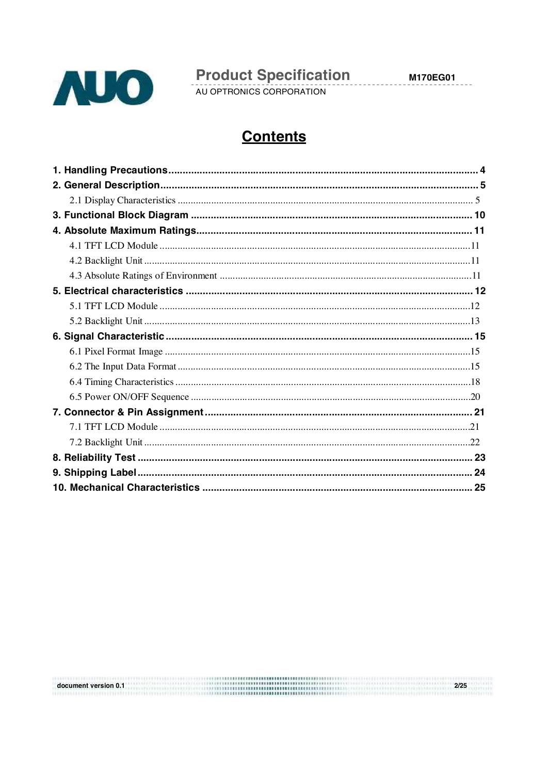

**Product Specification**  $\overline{a}$ 

 $2/25$ 

# **Contents**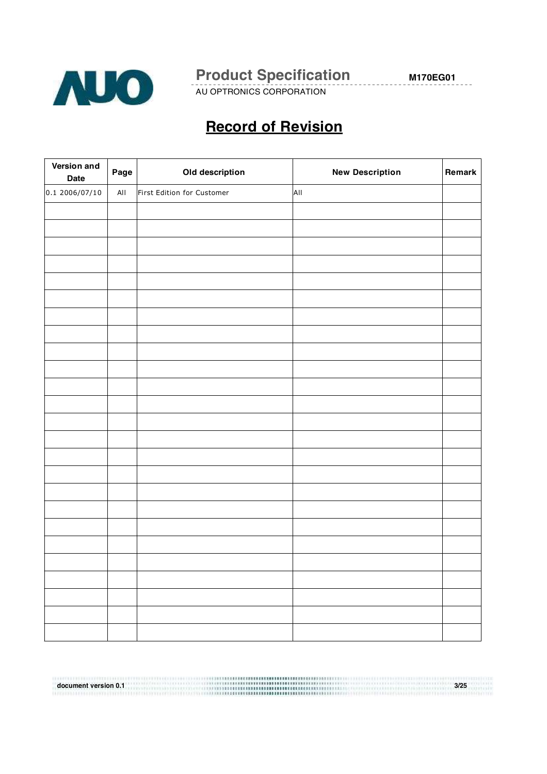

AU OPTRONICS CORPORATION

**M170EG01**

# **Record of Revision**

| Version and<br><b>Date</b> | Page            | Old description            | <b>New Description</b> | Remark |
|----------------------------|-----------------|----------------------------|------------------------|--------|
| 0.12006/07/10              | Al <sub>l</sub> | First Edition for Customer | AII                    |        |
|                            |                 |                            |                        |        |
|                            |                 |                            |                        |        |
|                            |                 |                            |                        |        |
|                            |                 |                            |                        |        |
|                            |                 |                            |                        |        |
|                            |                 |                            |                        |        |
|                            |                 |                            |                        |        |
|                            |                 |                            |                        |        |
|                            |                 |                            |                        |        |
|                            |                 |                            |                        |        |
|                            |                 |                            |                        |        |
|                            |                 |                            |                        |        |
|                            |                 |                            |                        |        |
|                            |                 |                            |                        |        |
|                            |                 |                            |                        |        |
|                            |                 |                            |                        |        |
|                            |                 |                            |                        |        |
|                            |                 |                            |                        |        |
|                            |                 |                            |                        |        |
|                            |                 |                            |                        |        |
|                            |                 |                            |                        |        |
|                            |                 |                            |                        |        |
|                            |                 |                            |                        |        |
|                            |                 |                            |                        |        |
|                            |                 |                            |                        |        |

**document version 0.1 3/25**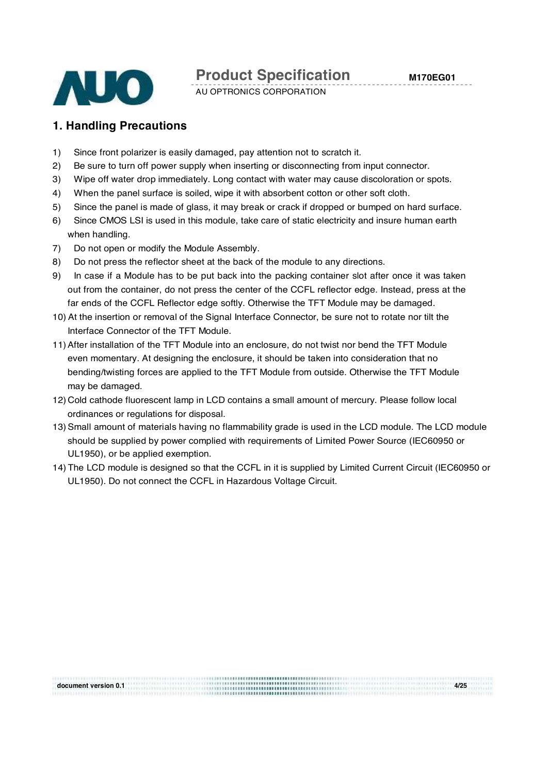

AU OPTRONICS CORPORATION

### **1. Handling Precautions**

- 1) Since front polarizer is easily damaged, pay attention not to scratch it.
- 2) Be sure to turn off power supply when inserting or disconnecting from input connector.
- 3) Wipe off water drop immediately. Long contact with water may cause discoloration or spots.
- 4) When the panel surface is soiled, wipe it with absorbent cotton or other soft cloth.
- 5) Since the panel is made of glass, it may break or crack if dropped or bumped on hard surface.
- 6) Since CMOS LSI is used in this module, take care of static electricity and insure human earth when handling.
- 7) Do not open or modify the Module Assembly.
- 8) Do not press the reflector sheet at the back of the module to any directions.
- 9) In case if a Module has to be put back into the packing container slot after once it was taken out from the container, do not press the center of the CCFL reflector edge. Instead, press at the far ends of the CCFL Reflector edge softly. Otherwise the TFT Module may be damaged.
- 10) At the insertion or removal of the Signal Interface Connector, be sure not to rotate nor tilt the Interface Connector of the TFT Module.
- 11)After installation of the TFT Module into an enclosure, do not twist nor bend the TFT Module even momentary. At designing the enclosure, it should be taken into consideration that no bending/twisting forces are applied to the TFT Module from outside. Otherwise the TFT Module may be damaged.
- 12) Cold cathode fluorescent lamp in LCD contains a small amount of mercury. Please follow local ordinances or regulations for disposal.
- 13) Small amount of materials having no flammability grade is used in the LCD module. The LCD module should be supplied by power complied with requirements of Limited Power Source (IEC60950 or UL1950), or be applied exemption.
- 14) The LCD module is designed so that the CCFL in it is supplied by Limited Current Circuit (IEC60950 or UL1950). Do not connect the CCFL in Hazardous Voltage Circuit.

**document version 0.1 4/25**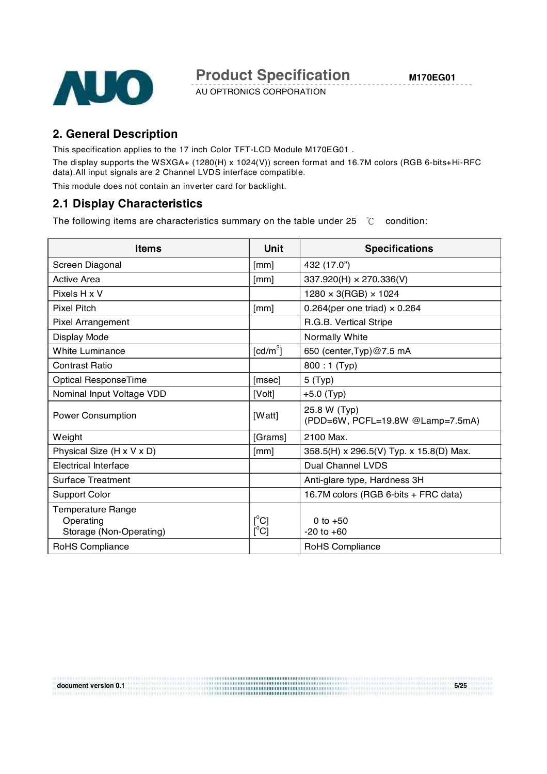

# **2. General Description**

This specification applies to the 17 inch Color TFT-LCD Module M170EG01 .

The display supports the WSXGA+ (1280(H) x 1024(V)) screen format and 16.7M colors (RGB 6-bits+Hi-RFC data).All input signals are 2 Channel LVDS interface compatible.

This module does not contain an inverter card for backlight.

### **2.1 Display Characteristics**

The following items are characteristics summary on the table under 25  $\degree$ C condition:

| <b>Items</b>              | Unit                    | <b>Specifications</b>                            |
|---------------------------|-------------------------|--------------------------------------------------|
| Screen Diagonal           | [mm]                    | 432 (17.0")                                      |
| Active Area               | [mm]                    | 337.920(H) × 270.336(V)                          |
| Pixels H x V              |                         | $1280 \times 3(RGB) \times 1024$                 |
| <b>Pixel Pitch</b>        | [mm]                    | 0.264(per one triad) $\times$ 0.264              |
| Pixel Arrangement         |                         | R.G.B. Vertical Stripe                           |
| Display Mode              |                         | Normally White                                   |
| <b>White Luminance</b>    | [cd/m <sup>2</sup> ]    | 650 (center, Typ) @7.5 mA                        |
| <b>Contrast Ratio</b>     |                         | 800:1 (Typ)                                      |
| Optical ResponseTime      | [msec]                  | 5(Typ)                                           |
| Nominal Input Voltage VDD | [Volt]                  | $+5.0$ (Typ)                                     |
| Power Consumption         | [Watt]                  | 25.8 W (Typ)<br>(PDD=6W, PCFL=19.8W @Lamp=7.5mA) |
| Weight                    | [Grams]                 | 2100 Max.                                        |
| Physical Size (H x V x D) | [mm]                    | 358.5(H) x 296.5(V) Typ. x 15.8(D) Max.          |
| Electrical Interface      |                         | Dual Channel LVDS                                |
| <b>Surface Treatment</b>  |                         | Anti-glare type, Hardness 3H                     |
| Support Color             |                         | 16.7M colors (RGB 6-bits + FRC data)             |
| Temperature Range         |                         |                                                  |
| Operating                 | $\mathsf{I}^{\circ}$ Cl | 0 to $+50$                                       |
| Storage (Non-Operating)   | $[^{\circ}C]$           | $-20$ to $+60$                                   |
| RoHS Compliance           |                         | RoHS Compliance                                  |

**document version 0.1 5/25**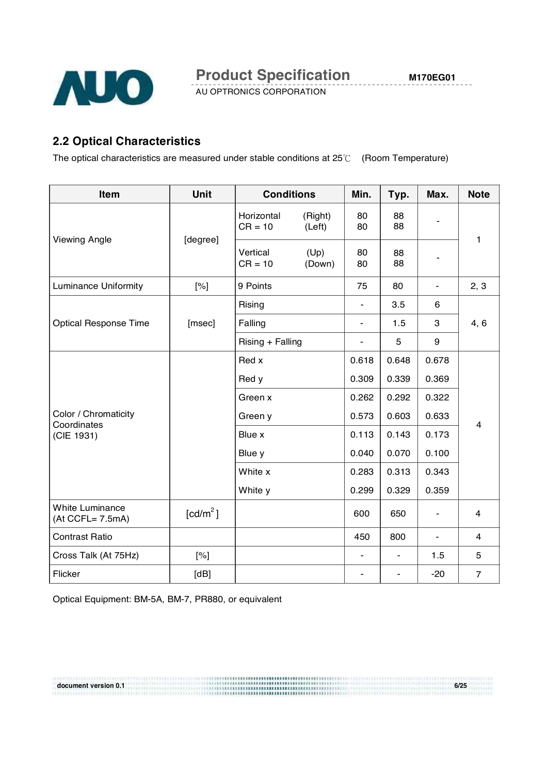

# **2.2 Optical Characteristics**

The optical characteristics are measured under stable conditions at  $25^{\circ}$  (Room Temperature)

| Item                                   | <b>Unit</b>          | <b>Conditions</b>       |                   | Min.                     | Typ.                     | Max.                     | <b>Note</b>             |  |
|----------------------------------------|----------------------|-------------------------|-------------------|--------------------------|--------------------------|--------------------------|-------------------------|--|
| <b>Viewing Angle</b>                   |                      | Horizontal<br>$CR = 10$ | (Right)<br>(Left) | 80<br>80                 | 88<br>88                 | $\blacksquare$           | 1                       |  |
|                                        | [degree]             | Vertical<br>$CR = 10$   | (Up)<br>(Down)    | 80<br>80                 | 88<br>88                 |                          |                         |  |
| <b>Luminance Uniformity</b>            | [%]                  | 9 Points                |                   | 75                       | 80                       |                          | 2, 3                    |  |
|                                        |                      | Rising                  |                   | $\overline{\phantom{a}}$ | 3.5                      | 6                        |                         |  |
| <b>Optical Response Time</b>           | [msec]               | Falling                 |                   | $\blacksquare$           | 1.5                      | 3                        | 4, 6                    |  |
|                                        |                      | Rising + Falling        |                   | $\blacksquare$           | 5                        | 9                        |                         |  |
|                                        |                      | Red x                   |                   | 0.618                    | 0.648                    | 0.678                    |                         |  |
|                                        |                      | Red y                   |                   | 0.309                    | 0.339                    | 0.369                    |                         |  |
|                                        |                      | Green x                 |                   | 0.262                    | 0.292                    | 0.322                    |                         |  |
| Color / Chromaticity                   |                      | Green y                 |                   | 0.573                    | 0.603                    | 0.633                    |                         |  |
| Coordinates<br>(CIE 1931)              |                      | Blue x                  |                   | 0.113                    | 0.143                    | 0.173                    | $\overline{\mathbf{4}}$ |  |
|                                        |                      | Blue y                  |                   | 0.040                    | 0.070                    | 0.100                    |                         |  |
|                                        |                      | White x                 |                   | 0.283                    | 0.313                    | 0.343                    |                         |  |
|                                        |                      | White y                 |                   | 0.299                    | 0.329                    | 0.359                    |                         |  |
| White Luminance<br>$(At CCFL = 7.5mA)$ | [cd/m <sup>2</sup> ] |                         |                   | 600                      | 650                      | $\overline{\phantom{a}}$ | 4                       |  |
| <b>Contrast Ratio</b>                  |                      |                         |                   | 450                      | 800                      | $\overline{\phantom{a}}$ | 4                       |  |
| Cross Talk (At 75Hz)                   | [%]                  |                         |                   | $\blacksquare$           | $\overline{\phantom{a}}$ | 1.5                      | 5                       |  |
| Flicker                                | [dB]                 |                         |                   |                          |                          | $-20$                    | $\overline{7}$          |  |

**document version 0.1 6/25**

Optical Equipment: BM-5A, BM-7, PR880, or equivalent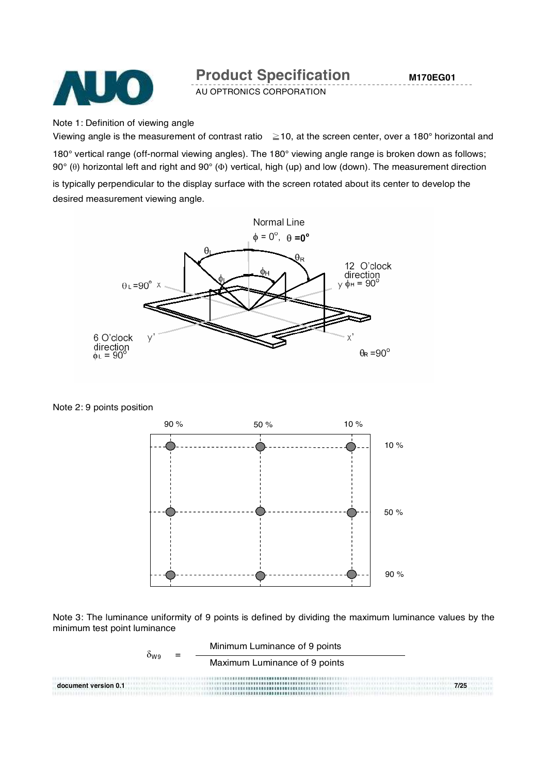

AU OPTRONICS CORPORATION

Note 1: Definition of viewing angle

Viewing angle is the measurement of contrast ratio  $\geq$  10, at the screen center, over a 180° horizontal and

180° vertical range (off-normal viewing angles). The 180° viewing angle range is broken down as follows; 90° (θ) horizontal left and right and 90° (Φ) vertical, high (up) and low (down). The measurement direction is typically perpendicular to the display surface with the screen rotated about its center to develop the desired measurement viewing angle.



Note 2: 9 points position



Note 3: The luminance uniformity of 9 points is defined by dividing the maximum luminance values by the minimum test point luminance

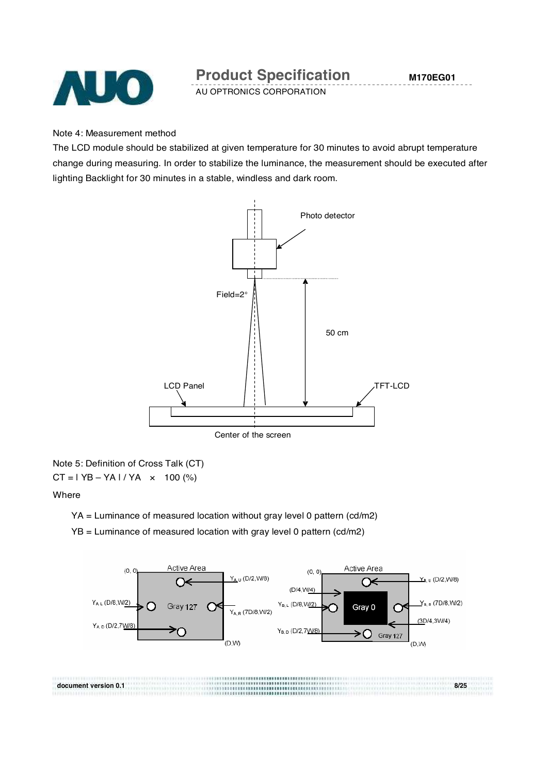

#### Note 4: Measurement method

The LCD module should be stabilized at given temperature for 30 minutes to avoid abrupt temperature change during measuring. In order to stabilize the luminance, the measurement should be executed after lighting Backlight for 30 minutes in a stable, windless and dark room.



Note 5: Definition of Cross Talk (CT)  $CT = 1 YB - YA1/YA \times 100$  (%)

#### Where

YA = Luminance of measured location without gray level 0 pattern (cd/m2)

YB = Luminance of measured location with gray level 0 pattern (cd/m2)



**document version 0.1 8/25**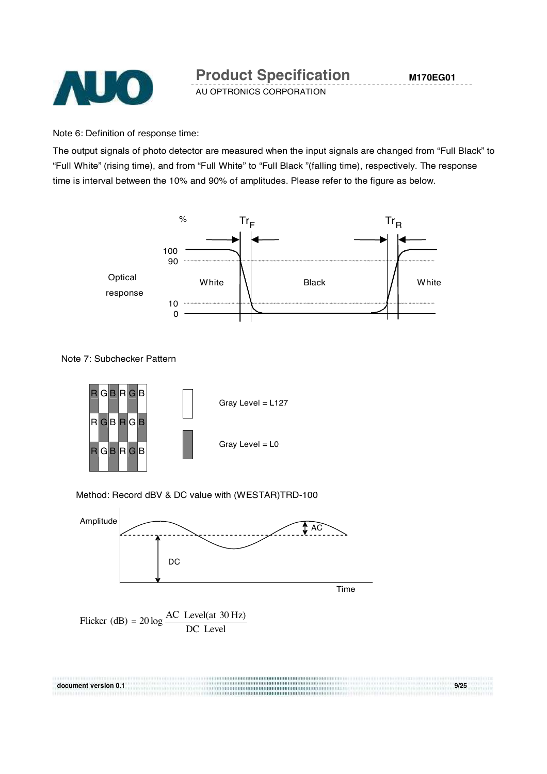

Note 6: Definition of response time:

The output signals of photo detector are measured when the input signals are changed from "Full Black" to "Full White" (rising time), and from "Full White" to "Full Black "(falling time), respectively. The response time is interval between the 10% and 90% of amplitudes. Please refer to the figure as below.



Note 7: Subchecker Pattern



Method: Record dBV & DC value with (WESTAR)TRD-100



**document version 0.1 9/25**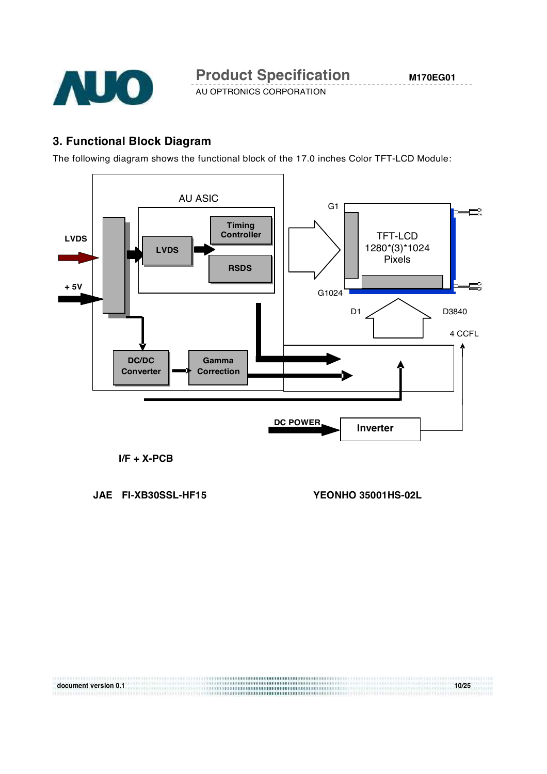

# **3. Functional Block Diagram**

The following diagram shows the functional block of the 17.0 inches Color TFT-LCD Module:



**document version 0.1 10/25**

#### **I/F + X-PCB**

**JAE FI-XB30SSL-HF15 YEONHO 35001HS-02L**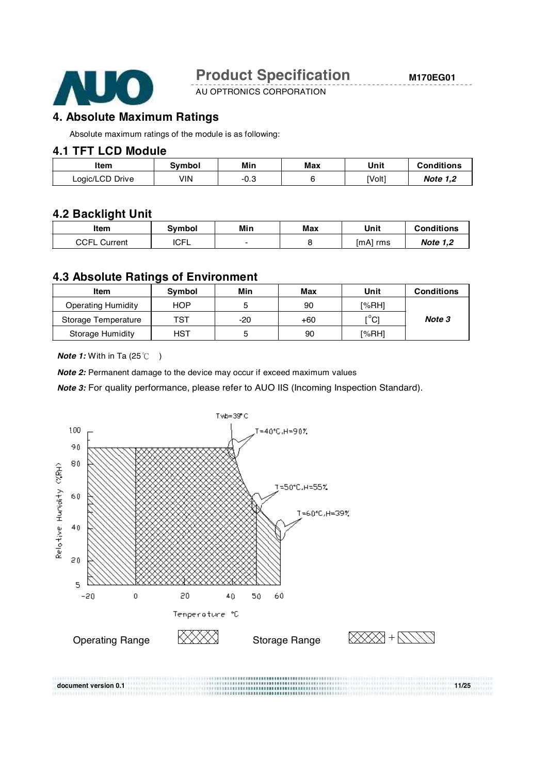

AU OPTRONICS CORPORATION

### **4. Absolute Maximum Ratings**

Absolute maximum ratings of the module is as following:

#### **4.1 TFT LCD Module**

| Item            | Svmbol | Min<br>------ | Max | Unit   | <b>Conditions</b> |
|-----------------|--------|---------------|-----|--------|-------------------|
| Logic/LCD Drive | ۷IN    | -0.3          |     | [Volt] | <b>Note 1.2</b>   |

### **4.2 Backlight Unit**

| Item                | Svmbol      | Min | Max | Unit     | Conditions      |
|---------------------|-------------|-----|-----|----------|-----------------|
| <b>CCFL Current</b> | <b>ICFL</b> |     |     | [mA] rms | <b>Note 1.2</b> |

#### **4.3 Absolute Ratings of Environment**

| Item                      | <b>Symbol</b> | Min   | Max | Unit  | <b>Conditions</b> |
|---------------------------|---------------|-------|-----|-------|-------------------|
| <b>Operating Humidity</b> | <b>HOP</b>    |       | 90  | [%RH] |                   |
| Storage Temperature       | TST           | $-20$ | +60 | [°C]  | Note 3            |
| <b>Storage Humidity</b>   | <b>HST</b>    |       | 90  | l%RH1 |                   |

*Note 1:* With in Ta (25°C )

*Note 2:* Permanent damage to the device may occur if exceed maximum values

*Note 3:* For quality performance, please refer to AUO IIS (Incoming Inspection Standard).

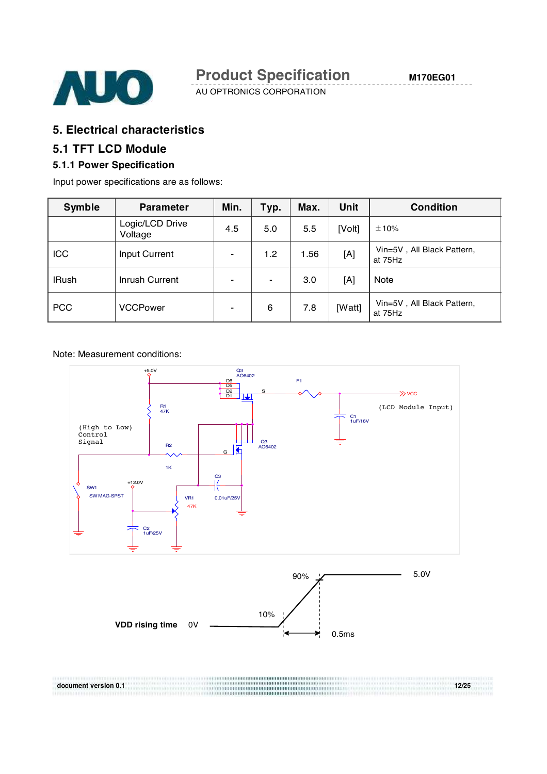

# **5. Electrical characteristics**

# **5.1 TFT LCD Module**

### **5.1.1 Power Specification**

Input power specifications are as follows:

| Symble       | <b>Parameter</b>           | Min.           | Typ.           | Max. | <b>Unit</b> | <b>Condition</b>                      |
|--------------|----------------------------|----------------|----------------|------|-------------|---------------------------------------|
|              | Logic/LCD Drive<br>Voltage | 4.5            | 5.0            | 5.5  | [Volt]      | ±10%                                  |
| <b>ICC</b>   | Input Current              | $\blacksquare$ | 1.2            | 1.56 | [A]         | Vin=5V, All Black Pattern,<br>at 75Hz |
| <b>IRush</b> | Inrush Current             | $\blacksquare$ | $\blacksquare$ | 3.0  | [A]         | Note                                  |
| <b>PCC</b>   | <b>VCCPower</b>            |                | 6              | 7.8  | [Watt]      | Vin=5V, All Black Pattern,<br>at 75Hz |

#### Note: Measurement conditions:

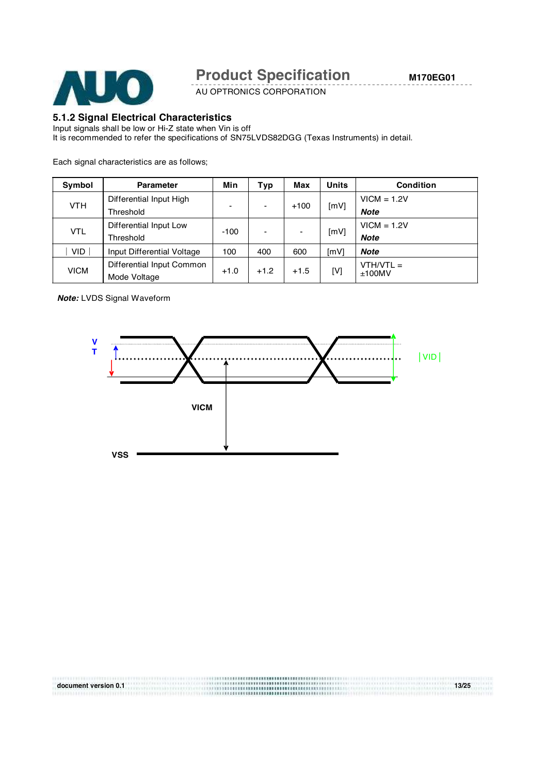

AU OPTRONICS CORPORATION

#### **5.1.2 Signal Electrical Characteristics**

Input signals shall be low or Hi-Z state when Vin is off

It is recommended to refer the specifications of SN75LVDS82DGG (Texas Instruments) in detail.

Each signal characteristics are as follows;

| Symbol      | <b>Parameter</b>           | Min    | Typ                      | Max    | <b>Units</b> | <b>Condition</b> |
|-------------|----------------------------|--------|--------------------------|--------|--------------|------------------|
|             | Differential Input High    | ۰      | $\overline{\phantom{0}}$ | $+100$ | [mV]         | $VICM = 1.2V$    |
| <b>VTH</b>  | Threshold                  |        |                          |        |              | <b>Note</b>      |
| <b>VTL</b>  | Differential Input Low     | $-100$ | $\overline{\phantom{0}}$ |        | [mV]         | $VICM = 1.2V$    |
|             | Threshold                  |        |                          |        |              | <b>Note</b>      |
| <b>VID</b>  | Input Differential Voltage | 100    | 400                      | 600    | [mV]         | <b>Note</b>      |
|             | Differential Input Common  |        |                          |        |              | $VTH/VTL =$      |
| <b>VICM</b> | Mode Voltage               | $+1.0$ | $+1.2$                   | $+1.5$ | [V]          | $+100MV$         |
|             |                            |        |                          |        |              |                  |

*Note:* LVDS Signal Waveform



**document version 0.1 13/25**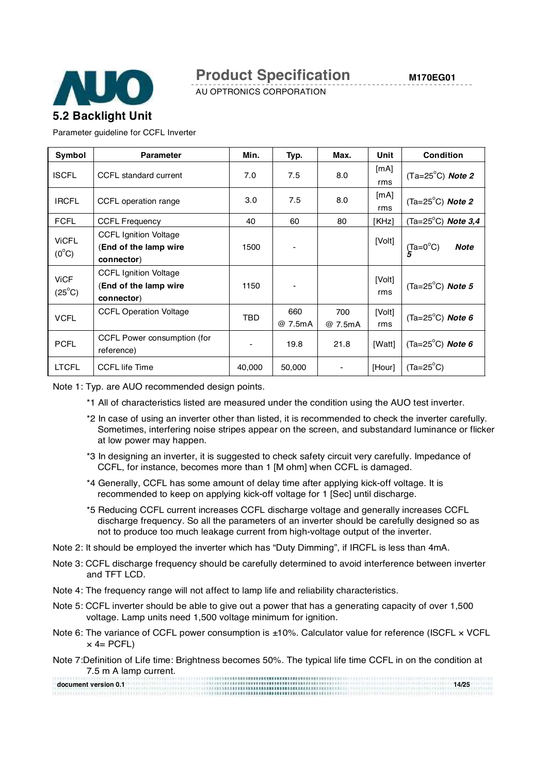

AU OPTRONICS CORPORATION

# **5.2 Backlight Unit**

Parameter guideline for CCFL Inverter

| Symbol                         | <b>Parameter</b>                                                    | Min.   | Typ.           | Max.           | Unit          | <b>Condition</b>                          |
|--------------------------------|---------------------------------------------------------------------|--------|----------------|----------------|---------------|-------------------------------------------|
| <b>ISCFL</b>                   | CCFL standard current                                               | 7.0    | 7.5            | 8.0            | [mA]<br>rms   | $(Ta=25^{\circ}C)$ Note 2                 |
| <b>IRCFL</b>                   | CCFL operation range                                                | 3.0    | 7.5            | 8.0            | [mA]<br>rms   | $(Ta=25^{\circ}C)$ <i>Note 2</i>          |
| <b>FCFL</b>                    | <b>CCFL Frequency</b>                                               | 40     | 60             | 80             | [KHz]         | (Ta=25 $^{\circ}$ C) Note 3,4             |
| <b>ViCFL</b><br>$(0^{\circ}C)$ | <b>CCFL Ignition Voltage</b><br>(End of the lamp wire<br>connector) | 1500   |                |                | [Volt]        | $\int_{5}^{T}a=0^{\circ}C$<br><b>Note</b> |
| <b>ViCF</b><br>$(25^{\circ}C)$ | <b>CCFL Ignition Voltage</b><br>(End of the lamp wire<br>connector) | 1150   |                |                | [Volt]<br>rms | (Ta=25 $^{\circ}$ C) Note 5               |
| <b>VCFL</b>                    | <b>CCFL Operation Voltage</b>                                       | TBD    | 660<br>@ 7.5mA | 700<br>@ 7.5mA | [Volt]<br>rms | (Ta=25 $^{\circ}$ C) <b>Note 6</b>        |
| <b>PCFL</b>                    | CCFL Power consumption (for<br>reference)                           |        | 19.8           | 21.8           | [Watt]        | (Ta=25 $^{\circ}$ C) Note 6               |
| <b>LTCFL</b>                   | <b>CCFL</b> life Time                                               | 40,000 | 50,000         |                | [Hour]        | $(Ta=25^{\circ}C)$                        |

Note 1: Typ. are AUO recommended design points.

- \*1 All of characteristics listed are measured under the condition using the AUO test inverter.
- \*2 In case of using an inverter other than listed, it is recommended to check the inverter carefully. Sometimes, interfering noise stripes appear on the screen, and substandard luminance or flicker at low power may happen.
- \*3 In designing an inverter, it is suggested to check safety circuit very carefully. Impedance of CCFL, for instance, becomes more than 1 [M ohm] when CCFL is damaged.
- \*4 Generally, CCFL has some amount of delay time after applying kick-off voltage. It is recommended to keep on applying kick-off voltage for 1 [Sec] until discharge.
- \*5 Reducing CCFL current increases CCFL discharge voltage and generally increases CCFL discharge frequency. So all the parameters of an inverter should be carefully designed so as not to produce too much leakage current from high-voltage output of the inverter.
- Note 2: It should be employed the inverter which has "Duty Dimming", if IRCFL is less than 4mA.
- Note 3: CCFL discharge frequency should be carefully determined to avoid interference between inverter and TFT LCD.
- Note 4: The frequency range will not affect to lamp life and reliability characteristics.
- Note 5: CCFL inverter should be able to give out a power that has a generating capacity of over 1,500 voltage. Lamp units need 1,500 voltage minimum for ignition.
- Note 6: The variance of CCFL power consumption is ±10%. Calculator value for reference (ISCFL x VCFL  $\times$  4= PCFL)
- Note 7:Definition of Life time: Brightness becomes 50%. The typical life time CCFL in on the condition at 7.5 m A lamp current.

**document version 0.1 14/25**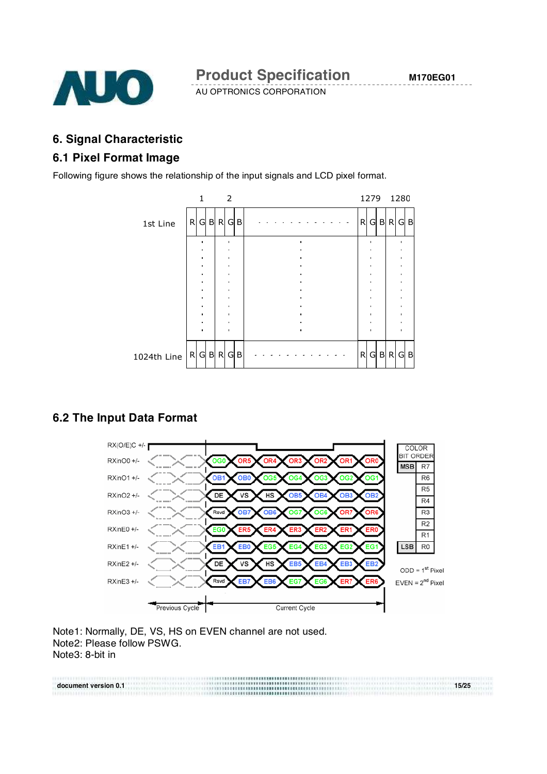

# **6. Signal Characteristic**

### **6.1 Pixel Format Image**

Following figure shows the relationship of the input signals and LCD pixel format.



### **6.2 The Input Data Format**



Note1: Normally, DE, VS, HS on EVEN channel are not used. Note2: Please follow PSWG. Note3: 8-bit in

**document version 0.1 15/25**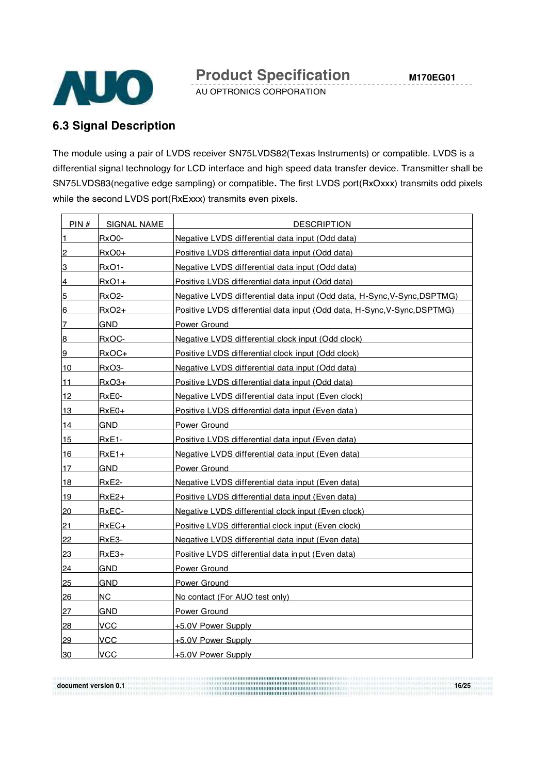

### **6.3 Signal Description**

The module using a pair of LVDS receiver SN75LVDS82(Texas Instruments) or compatible. LVDS is a differential signal technology for LCD interface and high speed data transfer device. Transmitter shall be SN75LVDS83(negative edge sampling) or compatible**.** The first LVDS port(RxOxxx) transmits odd pixels while the second LVDS port(RxExxx) transmits even pixels.

| PIN#                    | <b>SIGNAL NAME</b> | <b>DESCRIPTION</b>                                                       |
|-------------------------|--------------------|--------------------------------------------------------------------------|
| 1                       | RxO0-              | Negative LVDS differential data input (Odd data)                         |
| $\overline{2}$          | $RxO0+$            | Positive LVDS differential data input (Odd data)                         |
| 3                       | RxO1-              | Negative LVDS differential data input (Odd data)                         |
| 4                       | RxO1+              | Positive LVDS differential data input (Odd data)                         |
| $\overline{5}$          | <b>RxO2-</b>       | Negative LVDS differential data input (Odd data, H-Sync, V-Sync, DSPTMG) |
| 6                       | $RxO2+$            | Positive LVDS differential data input (Odd data, H-Sync, V-Sync, DSPTMG) |
| 7                       | GND                | Power Ground                                                             |
| $\overline{\mathbf{8}}$ | RxOC-              | Negative LVDS differential clock input (Odd clock)                       |
| 9                       | RxOC+              | Positive LVDS differential clock input (Odd clock)                       |
| 10                      | RxO3-              | Negative LVDS differential data input (Odd data)                         |
| 11                      | RxO3+              | Positive LVDS differential data input (Odd data)                         |
| 12                      | RxE0-              | Negative LVDS differential data input (Even clock)                       |
| 13                      | $RxE0+$            | Positive LVDS differential data input (Even data)                        |
| 14                      | GND                | Power Ground                                                             |
| 15                      | RxE1-              | Positive LVDS differential data input (Even data)                        |
| 16                      | $RxE1+$            | Negative LVDS differential data input (Even data)                        |
| 17                      | <b>GND</b>         | Power Ground                                                             |
| 18                      | RxE2-              | Negative LVDS differential data input (Even data)                        |
| 19                      | RxE2+              | Positive LVDS differential data input (Even data)                        |
| 20                      | RxEC-              | Negative LVDS differential clock input (Even clock)                      |
| $\overline{21}$         | $RxEC+$            | Positive LVDS differential clock input (Even clock)                      |
| 22                      | RxE3-              | Negative LVDS differential data input (Even data)                        |
| 23                      | RxE3+              | Positive LVDS differential data input (Even data)                        |
| $\overline{24}$         | <b>GND</b>         | Power Ground                                                             |
| 25                      | <b>GND</b>         | Power Ground                                                             |
| 26                      | NC                 | No contact (For AUO test only)                                           |
| 27                      | GND                | Power Ground                                                             |
| $\overline{28}$         | <b>VCC</b>         | <u>+5.0V Power Supply</u>                                                |
| $\overline{29}$         | VCC                | +5.0V Power Supply                                                       |
| 30                      | VCC                | +5.0V Power Supply                                                       |

**document version 0.1 16/25**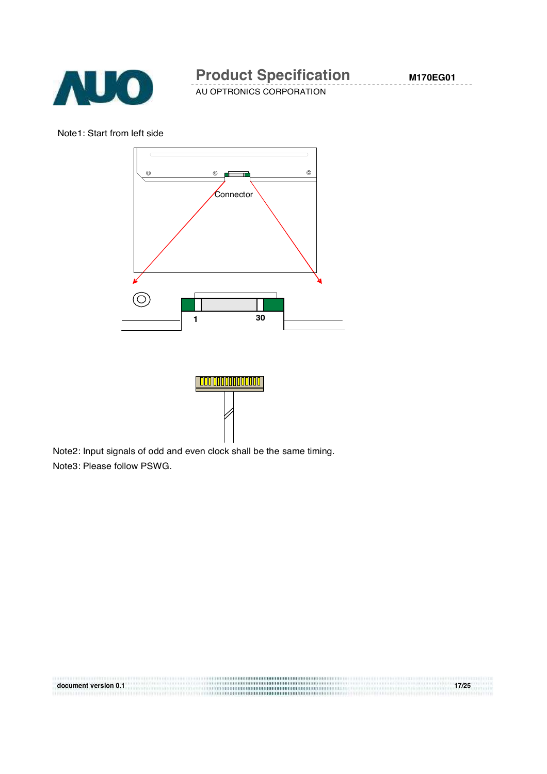

AU OPTRONICS CORPORATION

Note1: Start from left side





**document version 0.1 17/25**

Note2: Input signals of odd and even clock shall be the same timing. Note3: Please follow PSWG.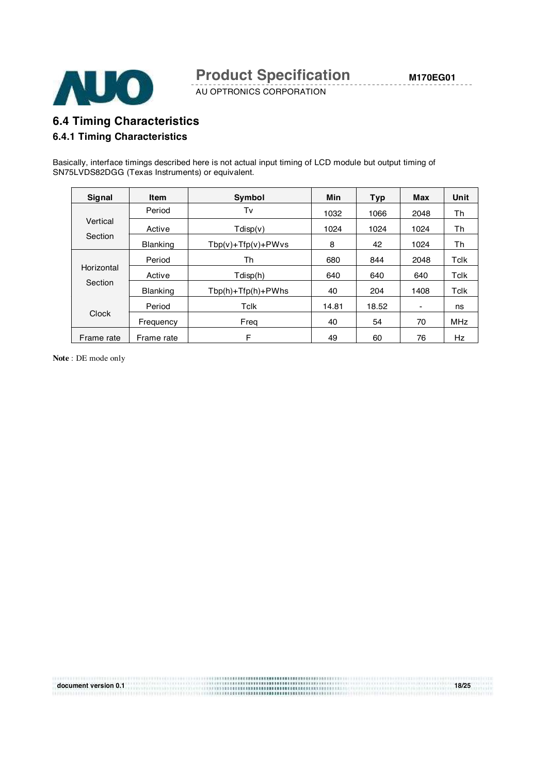

AU OPTRONICS CORPORATION

# **6.4 Timing Characteristics**

#### **6.4.1 Timing Characteristics**

Basically, interface timings described here is not actual input timing of LCD module but output timing of SN75LVDS82DGG (Texas Instruments) or equivalent.

| Signal     | <b>Item</b>     | Symbol                   | Min   | <b>Typ</b> | Max  | Unit       |
|------------|-----------------|--------------------------|-------|------------|------|------------|
|            | Period          | Tv                       | 1032  | 1066       | 2048 | Th         |
| Vertical   | Active          | $T\text{disp}(v)$        | 1024  | 1024       | 1024 | Th         |
| Section    | <b>Blanking</b> | $Tbp(v) + Tfp(v) + PWvs$ | 8     | 42         | 1024 | Th         |
|            | Period          | Th                       | 680   | 844        | 2048 | Tclk       |
| Horizontal | Active          | Tdisp(h)                 | 640   | 640        | 640  | Tclk       |
| Section    | <b>Blanking</b> | $Tbp(h) + Tfp(h) + PWhs$ | 40    | 204        | 1408 | Tclk       |
|            | Period          | Tclk                     | 14.81 | 18.52      | ۰    | ns         |
| Clock      | Frequency       | Freg                     | 40    | 54         | 70   | <b>MHz</b> |
| Frame rate | Frame rate      | F                        | 49    | 60         | 76   | Hz         |

**document version 0.1 18/25**

**Note** : DE mode only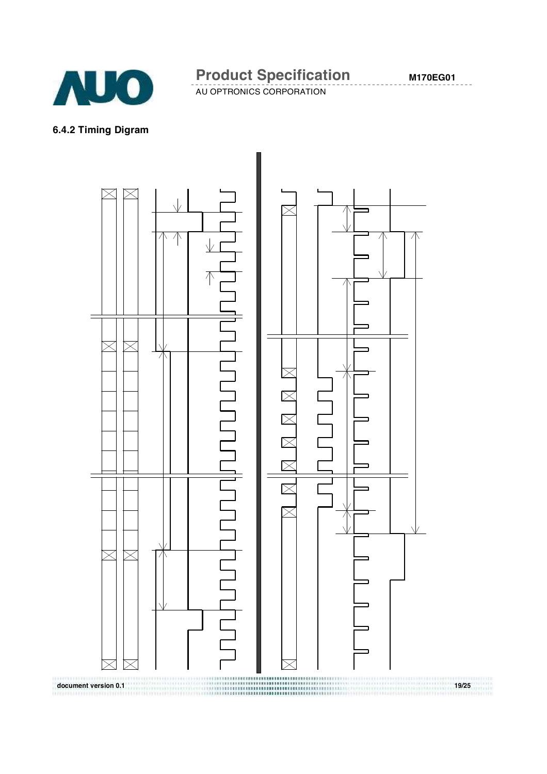

AU OPTRONICS CORPORATION

#### **6.4.2 Timing Digram**

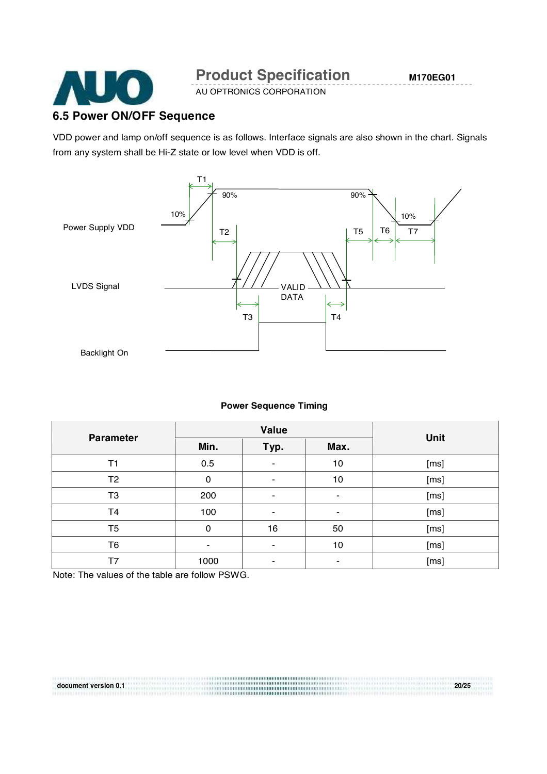

AU OPTRONICS CORPORATION

### **6.5 Power ON/OFF Sequence**

VDD power and lamp on/off sequence is as follows. Interface signals are also shown in the chart. Signals from any system shall be Hi-Z state or low level when VDD is off.



#### **Power Sequence Timing**

| <b>Parameter</b> | Value |      |      | <b>Unit</b> |
|------------------|-------|------|------|-------------|
|                  | Min.  | Typ. | Max. |             |
| T <sub>1</sub>   | 0.5   |      | 10   | [ms]        |
| T <sub>2</sub>   | 0     | ۰    | 10   | [ms]        |
| T <sub>3</sub>   | 200   |      | ۰    | [ms]        |
| T <sub>4</sub>   | 100   |      | ۰    | [ms]        |
| T <sub>5</sub>   | 0     | 16   | 50   | [ms]        |
| T6               | ۰     |      | 10   | [ms]        |
| T7               | 1000  | -    | ٠.   | [ms]        |

Note: The values of the table are follow PSWG.